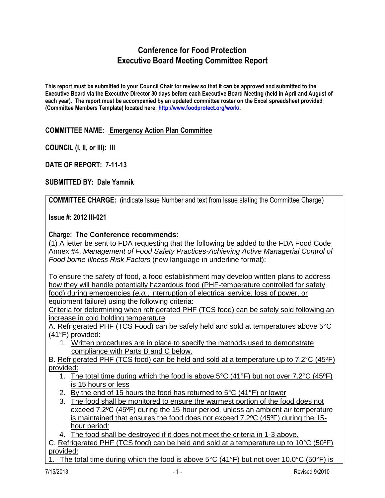# **Conference for Food Protection Executive Board Meeting Committee Report**

**This report must be submitted to your Council Chair for review so that it can be approved and submitted to the Executive Board via the Executive Director 30 days before each Executive Board Meeting (held in April and August of each year). The report must be accompanied by an updated committee roster on the Excel spreadsheet provided (Committee Members Template) located here: [http://www.foodprotect.org/work/.](http://www.foodprotect.org/work/)**

### **COMMITTEE NAME: Emergency Action Plan Committee**

**COUNCIL (I, II, or III): III**

**DATE OF REPORT: 7-11-13**

#### **SUBMITTED BY: Dale Yamnik**

**COMMITTEE CHARGE:** (indicate Issue Number and text from Issue stating the Committee Charge)

**Issue #: 2012 III-021**

#### **Charge: The Conference recommends:**

(1) A letter be sent to FDA requesting that the following be added to the FDA Food Code Annex #4, *Management of Food Safety Practices-Achieving Active Managerial Control of Food borne Illness Risk Factors* (new language in underline format):

To ensure the safety of food, a food establishment may develop written plans to address how they will handle potentially hazardous food (PHF-temperature controlled for safety food) during emergencies (*e.g.*, interruption of electrical service, loss of power, or equipment failure) using the following criteria:

Criteria for determining when refrigerated PHF (TCS food) can be safely sold following an increase in cold holding temperature

A. Refrigerated PHF (TCS Food) can be safely held and sold at temperatures above 5°C (41°F) provided:

1. Written procedures are in place to specify the methods used to demonstrate compliance with Parts B and C below.

B. Refrigerated PHF (TCS food) can be held and sold at a temperature up to 7.2°C (45ºF) provided:

- 1. The total time during which the food is above  $5^{\circ}C$  (41°F) but not over 7.2°C (45°F) is 15 hours or less
- 2. By the end of 15 hours the food has returned to  $5^{\circ}$ C (41 $^{\circ}$ F) or lower
- 3. The food shall be monitored to ensure the warmest portion of the food does not exceed 7.2ºC (45ºF) during the 15-hour period, unless an ambient air temperature is maintained that ensures the food does not exceed 7.2ºC (45ºF) during the 15 hour period*;*

4. The food shall be destroved if it does not meet the criteria in 1-3 above.

C. Refrigerated PHF (TCS food) can be held and sold at a temperature up to 10°C (50ºF) provided:

1. The total time during which the food is above 5°C (41°F) but not over 10.0°C (50°F) is